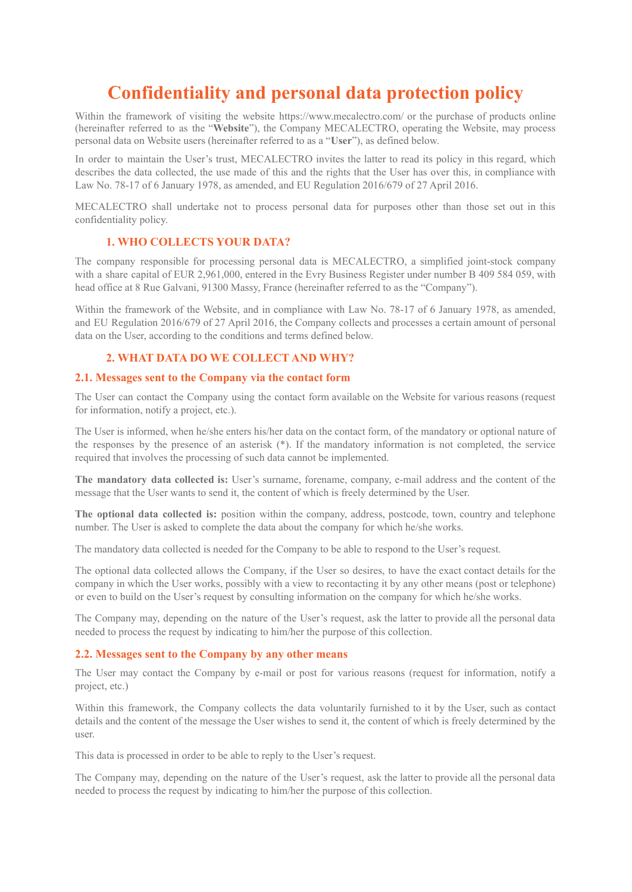# **Confidentiality and personal data protection policy**

Within the framework of visiting the website https://www.mecalectro.com/ or the purchase of products online (hereinafter referred to as the "**Website**"), the Company MECALECTRO, operating the Website, may process personal data on Website users (hereinafter referred to as a "**User**"), as defined below.

In order to maintain the User's trust, MECALECTRO invites the latter to read its policy in this regard, which describes the data collected, the use made of this and the rights that the User has over this, in compliance with Law No. 78-17 of 6 January 1978, as amended, and EU Regulation 2016/679 of 27 April 2016.

MECALECTRO shall undertake not to process personal data for purposes other than those set out in this confidentiality policy.

# **1. WHO COLLECTS YOUR DATA?**

The company responsible for processing personal data is MECALECTRO, a simplified joint-stock company with a share capital of EUR 2,961,000, entered in the Evry Business Register under number B 409 584 059, with head office at 8 Rue Galvani, 91300 Massy, France (hereinafter referred to as the "Company").

Within the framework of the Website, and in compliance with Law No. 78-17 of 6 January 1978, as amended, and EU Regulation 2016/679 of 27 April 2016, the Company collects and processes a certain amount of personal data on the User, according to the conditions and terms defined below.

# **2. WHAT DATA DO WE COLLECT AND WHY?**

#### **2.1. Messages sent to the Company via the contact form**

The User can contact the Company using the contact form available on the Website for various reasons (request for information, notify a project, etc.).

The User is informed, when he/she enters his/her data on the contact form, of the mandatory or optional nature of the responses by the presence of an asterisk (\*). If the mandatory information is not completed, the service required that involves the processing of such data cannot be implemented.

**The mandatory data collected is:** User's surname, forename, company, e-mail address and the content of the message that the User wants to send it, the content of which is freely determined by the User.

**The optional data collected is:** position within the company, address, postcode, town, country and telephone number. The User is asked to complete the data about the company for which he/she works.

The mandatory data collected is needed for the Company to be able to respond to the User's request.

The optional data collected allows the Company, if the User so desires, to have the exact contact details for the company in which the User works, possibly with a view to recontacting it by any other means (post or telephone) or even to build on the User's request by consulting information on the company for which he/she works.

The Company may, depending on the nature of the User's request, ask the latter to provide all the personal data needed to process the request by indicating to him/her the purpose of this collection.

#### **2.2. Messages sent to the Company by any other means**

The User may contact the Company by e-mail or post for various reasons (request for information, notify a project, etc.)

Within this framework, the Company collects the data voluntarily furnished to it by the User, such as contact details and the content of the message the User wishes to send it, the content of which is freely determined by the user.

This data is processed in order to be able to reply to the User's request.

The Company may, depending on the nature of the User's request, ask the latter to provide all the personal data needed to process the request by indicating to him/her the purpose of this collection.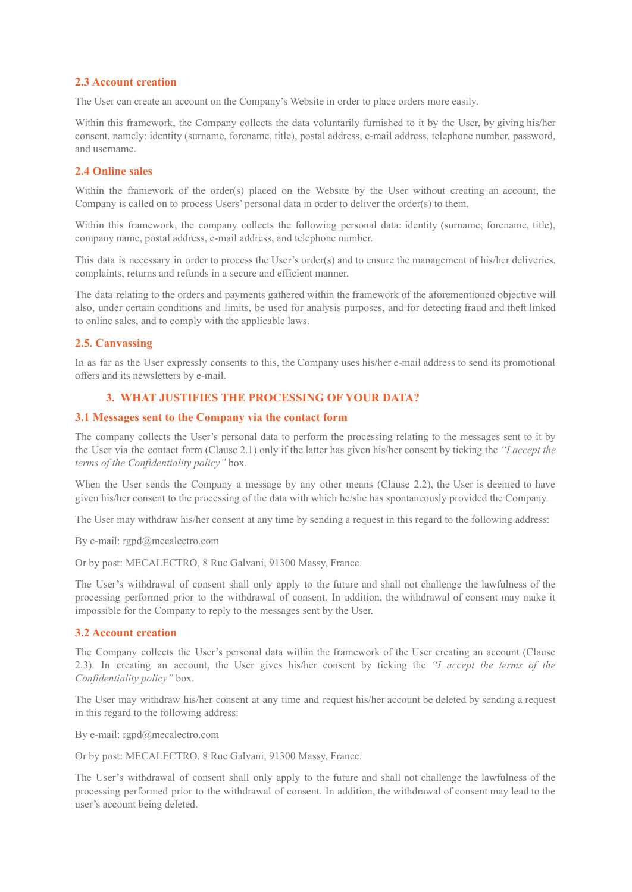# **2.3 Account creation**

The User can create an account on the Company's Website in order to place orders more easily.

Within this framework, the Company collects the data voluntarily furnished to it by the User, by giving his/her consent, namely: identity (surname, forename, title), postal address, e-mail address, telephone number, password, and username.

#### **2.4 Online sales**

Within the framework of the order(s) placed on the Website by the User without creating an account, the Company is called on to process Users' personal data in order to deliver the order(s) to them.

Within this framework, the company collects the following personal data: identity (surname; forename, title), company name, postal address, e-mail address, and telephone number.

This data is necessary in order to process the User's order(s) and to ensure the management of his/her deliveries, complaints, returns and refunds in a secure and efficient manner.

The data relating to the orders and payments gathered within the framework of the aforementioned objective will also, under certain conditions and limits, be used for analysis purposes, and for detecting fraud and theft linked to online sales, and to comply with the applicable laws.

## **2.5. Canvassing**

In as far as the User expressly consents to this, the Company uses his/her e-mail address to send its promotional offers and its newsletters by e-mail.

## **3. WHAT JUSTIFIES THE PROCESSING OF YOUR DATA?**

#### **3.1 Messages sent to the Company via the contact form**

The company collects the User's personal data to perform the processing relating to the messages sent to it by the User via the contact form (Clause 2.1) only if the latter has given his/her consent by ticking the *"I accept the terms of the Confidentiality policy"* box.

When the User sends the Company a message by any other means (Clause 2.2), the User is deemed to have given his/her consent to the processing of the data with which he/she has spontaneously provided the Company.

The User may withdraw his/her consent at any time by sending a request in this regard to the following address:

By e-mail: rgpd@mecalectro.com

Or by post: MECALECTRO, 8 Rue Galvani, 91300 Massy, France.

The User's withdrawal of consent shall only apply to the future and shall not challenge the lawfulness of the processing performed prior to the withdrawal of consent. In addition, the withdrawal of consent may make it impossible for the Company to reply to the messages sent by the User.

#### **3.2 Account creation**

The Company collects the User's personal data within the framework of the User creating an account (Clause 2.3). In creating an account, the User gives his/her consent by ticking the *"I accept the terms of the Confidentiality policy"* box.

The User may withdraw his/her consent at any time and request his/her account be deleted by sending a request in this regard to the following address:

By e-mail: rgpd@mecalectro.com

Or by post: MECALECTRO, 8 Rue Galvani, 91300 Massy, France.

The User's withdrawal of consent shall only apply to the future and shall not challenge the lawfulness of the processing performed prior to the withdrawal of consent. In addition, the withdrawal of consent may lead to the user's account being deleted.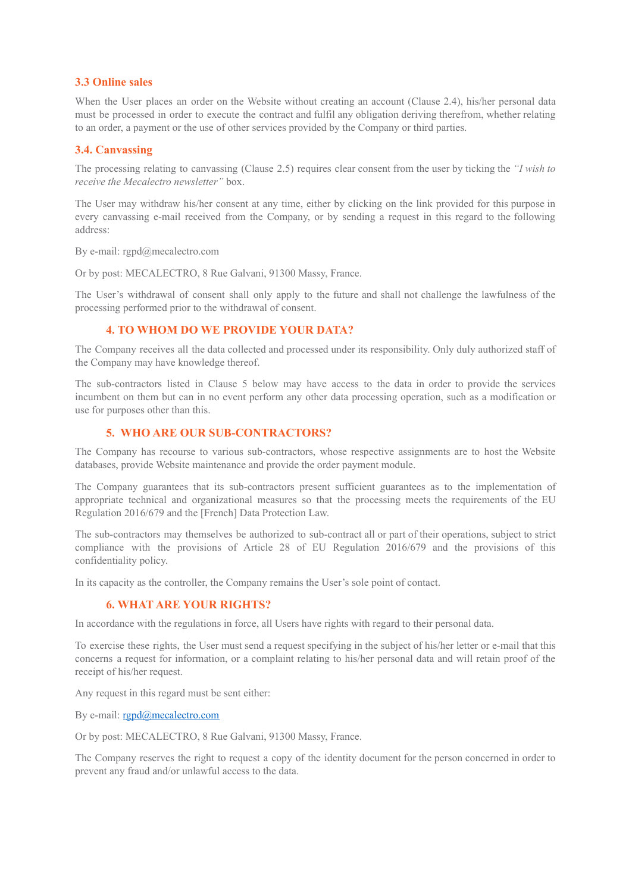# **3.3 Online sales**

When the User places an order on the Website without creating an account (Clause 2.4), his/her personal data must be processed in order to execute the contract and fulfil any obligation deriving therefrom, whether relating to an order, a payment or the use of other services provided by the Company or third parties.

# **3.4. Canvassing**

The processing relating to canvassing (Clause 2.5) requires clear consent from the user by ticking the *"I wish to receive the Mecalectro newsletter"* box.

The User may withdraw his/her consent at any time, either by clicking on the link provided for this purpose in every canvassing e-mail received from the Company, or by sending a request in this regard to the following address:

By e-mail: rgpd@mecalectro.com

Or by post: MECALECTRO, 8 Rue Galvani, 91300 Massy, France.

The User's withdrawal of consent shall only apply to the future and shall not challenge the lawfulness of the processing performed prior to the withdrawal of consent.

# **4. TO WHOM DO WE PROVIDE YOUR DATA?**

The Company receives all the data collected and processed under its responsibility. Only duly authorized staff of the Company may have knowledge thereof.

The sub-contractors listed in Clause 5 below may have access to the data in order to provide the services incumbent on them but can in no event perform any other data processing operation, such as a modification or use for purposes other than this.

# **5. WHO ARE OUR SUB-CONTRACTORS?**

The Company has recourse to various sub-contractors, whose respective assignments are to host the Website databases, provide Website maintenance and provide the order payment module.

The Company guarantees that its sub-contractors present sufficient guarantees as to the implementation of appropriate technical and organizational measures so that the processing meets the requirements of the EU Regulation 2016/679 and the [French] Data Protection Law.

The sub-contractors may themselves be authorized to sub-contract all or part of their operations, subject to strict compliance with the provisions of Article 28 of EU Regulation 2016/679 and the provisions of this confidentiality policy.

In its capacity as the controller, the Company remains the User's sole point of contact.

# **6. WHAT ARE YOUR RIGHTS?**

In accordance with the regulations in force, all Users have rights with regard to their personal data.

To exercise these rights, the User must send a request specifying in the subject of his/her letter or e-mail that this concerns a request for information, or a complaint relating to his/her personal data and will retain proof of the receipt of his/her request.

Any request in this regard must be sent either:

By e-mail: [rgpd@mecalectro.com](mailto:rgpd@mecalectro.com)

Or by post: MECALECTRO, 8 Rue Galvani, 91300 Massy, France.

The Company reserves the right to request a copy of the identity document for the person concerned in order to prevent any fraud and/or unlawful access to the data.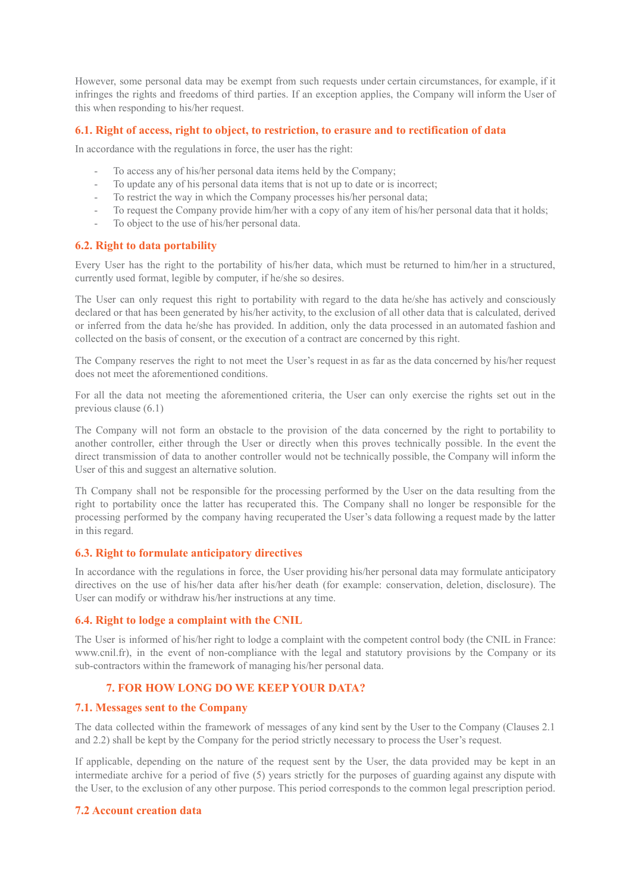However, some personal data may be exempt from such requests under certain circumstances, for example, if it infringes the rights and freedoms of third parties. If an exception applies, the Company will inform the User of this when responding to his/her request.

## **6.1. Right of access, right to object, to restriction, to erasure and to rectification of data**

In accordance with the regulations in force, the user has the right:

- To access any of his/her personal data items held by the Company;
- To update any of his personal data items that is not up to date or is incorrect;
- To restrict the way in which the Company processes his/her personal data;
- To request the Company provide him/her with a copy of any item of his/her personal data that it holds;
- To object to the use of his/her personal data.

## **6.2. Right to data portability**

Every User has the right to the portability of his/her data, which must be returned to him/her in a structured, currently used format, legible by computer, if he/she so desires.

The User can only request this right to portability with regard to the data he/she has actively and consciously declared or that has been generated by his/her activity, to the exclusion of all other data that is calculated, derived or inferred from the data he/she has provided. In addition, only the data processed in an automated fashion and collected on the basis of consent, or the execution of a contract are concerned by this right.

The Company reserves the right to not meet the User's request in as far as the data concerned by his/her request does not meet the aforementioned conditions.

For all the data not meeting the aforementioned criteria, the User can only exercise the rights set out in the previous clause (6.1)

The Company will not form an obstacle to the provision of the data concerned by the right to portability to another controller, either through the User or directly when this proves technically possible. In the event the direct transmission of data to another controller would not be technically possible, the Company will inform the User of this and suggest an alternative solution.

Th Company shall not be responsible for the processing performed by the User on the data resulting from the right to portability once the latter has recuperated this. The Company shall no longer be responsible for the processing performed by the company having recuperated the User's data following a request made by the latter in this regard.

#### **6.3. Right to formulate anticipatory directives**

In accordance with the regulations in force, the User providing his/her personal data may formulate anticipatory directives on the use of his/her data after his/her death (for example: conservation, deletion, disclosure). The User can modify or withdraw his/her instructions at any time.

#### **6.4. Right to lodge a complaint with the CNIL**

The User is informed of his/her right to lodge a complaint with the competent control body (the CNIL in France: www.cnil.fr), in the event of non-compliance with the legal and statutory provisions by the Company or its sub-contractors within the framework of managing his/her personal data.

# **7. FOR HOW LONG DO WE KEEP YOUR DATA?**

## **7.1. Messages sent to the Company**

The data collected within the framework of messages of any kind sent by the User to the Company (Clauses 2.1 and 2.2) shall be kept by the Company for the period strictly necessary to process the User's request.

If applicable, depending on the nature of the request sent by the User, the data provided may be kept in an intermediate archive for a period of five (5) years strictly for the purposes of guarding against any dispute with the User, to the exclusion of any other purpose. This period corresponds to the common legal prescription period.

#### **7.2 Account creation data**